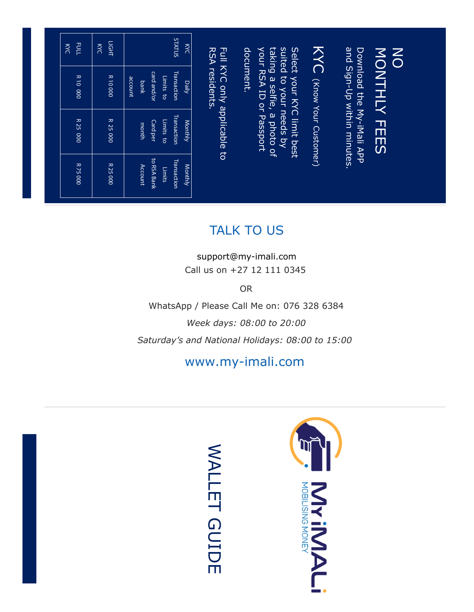| EQLL<br>KYC           | ПGНТ<br>KYC   | <b>SULLYS</b><br>$\overline{\mathcal{Z}}$                           | RSA residents.<br>Full KYC only applicable to | KYC (Know Your Customer)<br>suited to your needs by<br>Download the My-iMali APP<br>and Sign-Up within minutes.<br>taking a selfie, a photo c<br>your RSA ID or Passport<br>Select your KYC limit best<br>document.<br>MONTHLY FEES<br>$\overline{Q}$ | $\mathsf{\Xi}$ |  |
|-----------------------|---------------|---------------------------------------------------------------------|-----------------------------------------------|-------------------------------------------------------------------------------------------------------------------------------------------------------------------------------------------------------------------------------------------------------|----------------|--|
| <b>R10 000</b>        | <b>R10000</b> | Transaction<br>card and/or<br>Limits to<br>account<br>Daily<br>bank |                                               |                                                                                                                                                                                                                                                       |                |  |
| $\overline{R}$ 25 000 | R 25 000      | Transaction<br>Limits to<br>Monthly<br>Card per<br>month            |                                               |                                                                                                                                                                                                                                                       |                |  |
| R 75000               | R 25 000      | to RSA Bank<br>Transaction<br>Monthly<br>Account<br>Limits          |                                               |                                                                                                                                                                                                                                                       |                |  |

## TALK TO US

[support@my-imali.com](mailto:support@my-imali.com)Call us on +27 12 111 0345

OR

WhatsApp / Please Call Me on: 076 328 6384

*Week days: 08:00 to 20:00* 

*Saturday's and National Holidays: 08:00 to 15:00* 

#### www.my-imali.com